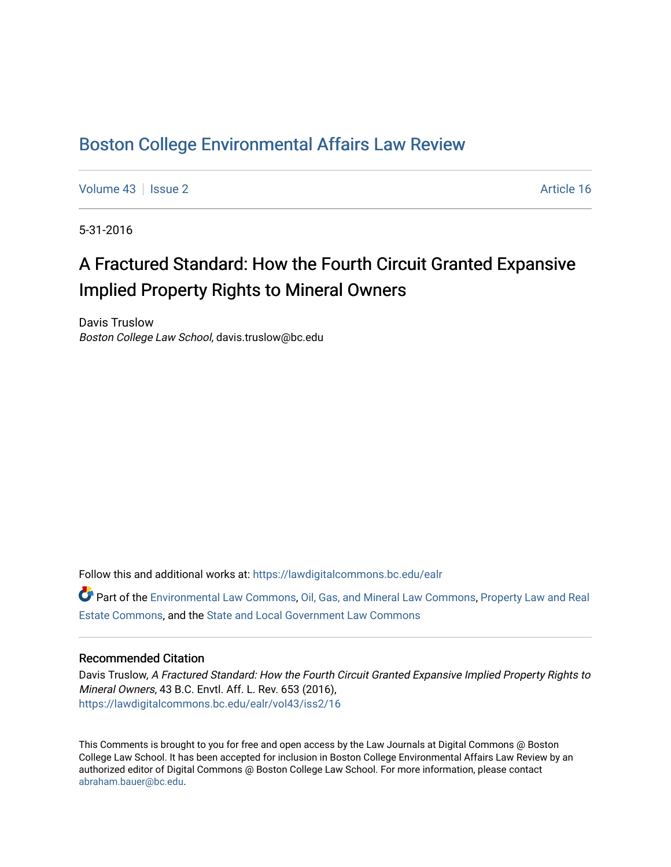# [Boston College Environmental Affairs Law Review](https://lawdigitalcommons.bc.edu/ealr)

[Volume 43](https://lawdigitalcommons.bc.edu/ealr/vol43) | [Issue 2](https://lawdigitalcommons.bc.edu/ealr/vol43/iss2) Article 16

5-31-2016

# A Fractured Standard: How the Fourth Circuit Granted Expansive Implied Property Rights to Mineral Owners

Davis Truslow Boston College Law School, davis.truslow@bc.edu

Follow this and additional works at: [https://lawdigitalcommons.bc.edu/ealr](https://lawdigitalcommons.bc.edu/ealr?utm_source=lawdigitalcommons.bc.edu%2Fealr%2Fvol43%2Fiss2%2F16&utm_medium=PDF&utm_campaign=PDFCoverPages) 

Part of the [Environmental Law Commons](http://network.bepress.com/hgg/discipline/599?utm_source=lawdigitalcommons.bc.edu%2Fealr%2Fvol43%2Fiss2%2F16&utm_medium=PDF&utm_campaign=PDFCoverPages), [Oil, Gas, and Mineral Law Commons](http://network.bepress.com/hgg/discipline/864?utm_source=lawdigitalcommons.bc.edu%2Fealr%2Fvol43%2Fiss2%2F16&utm_medium=PDF&utm_campaign=PDFCoverPages), [Property Law and Real](http://network.bepress.com/hgg/discipline/897?utm_source=lawdigitalcommons.bc.edu%2Fealr%2Fvol43%2Fiss2%2F16&utm_medium=PDF&utm_campaign=PDFCoverPages) [Estate Commons,](http://network.bepress.com/hgg/discipline/897?utm_source=lawdigitalcommons.bc.edu%2Fealr%2Fvol43%2Fiss2%2F16&utm_medium=PDF&utm_campaign=PDFCoverPages) and the [State and Local Government Law Commons](http://network.bepress.com/hgg/discipline/879?utm_source=lawdigitalcommons.bc.edu%2Fealr%2Fvol43%2Fiss2%2F16&utm_medium=PDF&utm_campaign=PDFCoverPages) 

## Recommended Citation

Davis Truslow, A Fractured Standard: How the Fourth Circuit Granted Expansive Implied Property Rights to Mineral Owners, 43 B.C. Envtl. Aff. L. Rev. 653 (2016), [https://lawdigitalcommons.bc.edu/ealr/vol43/iss2/16](https://lawdigitalcommons.bc.edu/ealr/vol43/iss2/16?utm_source=lawdigitalcommons.bc.edu%2Fealr%2Fvol43%2Fiss2%2F16&utm_medium=PDF&utm_campaign=PDFCoverPages)

This Comments is brought to you for free and open access by the Law Journals at Digital Commons @ Boston College Law School. It has been accepted for inclusion in Boston College Environmental Affairs Law Review by an authorized editor of Digital Commons @ Boston College Law School. For more information, please contact [abraham.bauer@bc.edu.](mailto:abraham.bauer@bc.edu)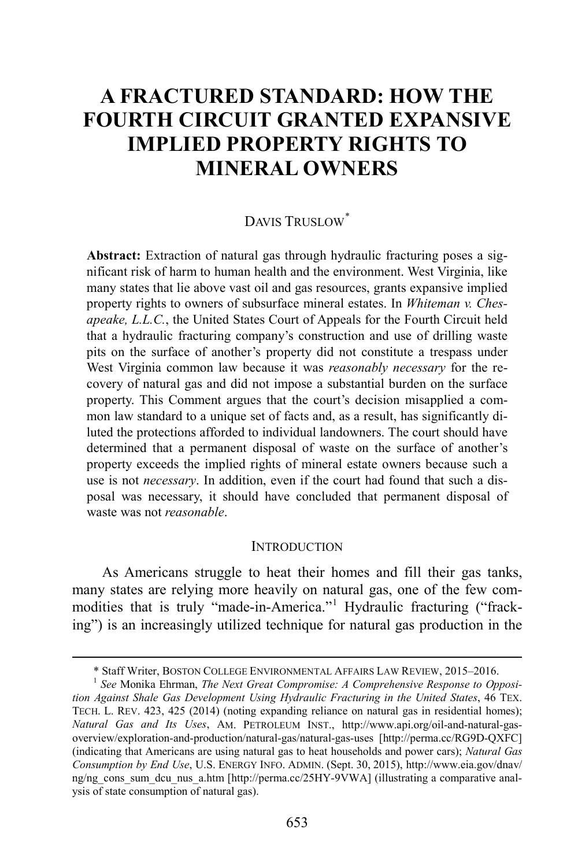# **A FRACTURED STANDARD: HOW THE FOURTH CIRCUIT GRANTED EXPANSIVE IMPLIED PROPERTY RIGHTS TO MINERAL OWNERS**

## DAVIS TRUSLOW[\\*](#page-1-0)

**Abstract:** Extraction of natural gas through hydraulic fracturing poses a significant risk of harm to human health and the environment. West Virginia, like many states that lie above vast oil and gas resources, grants expansive implied property rights to owners of subsurface mineral estates. In *Whiteman v. Chesapeake, L.L.C.*, the United States Court of Appeals for the Fourth Circuit held that a hydraulic fracturing company's construction and use of drilling waste pits on the surface of another's property did not constitute a trespass under West Virginia common law because it was *reasonably necessary* for the recovery of natural gas and did not impose a substantial burden on the surface property. This Comment argues that the court's decision misapplied a common law standard to a unique set of facts and, as a result, has significantly diluted the protections afforded to individual landowners. The court should have determined that a permanent disposal of waste on the surface of another's property exceeds the implied rights of mineral estate owners because such a use is not *necessary*. In addition, even if the court had found that such a disposal was necessary, it should have concluded that permanent disposal of waste was not *reasonable*.

#### <span id="page-1-2"></span>**INTRODUCTION**

As Americans struggle to heat their homes and fill their gas tanks, many states are relying more heavily on natural gas, one of the few com-modities that is truly "made-in-America."<sup>[1](#page-1-1)</sup> Hydraulic fracturing ("fracking") is an increasingly utilized technique for natural gas production in the

 <sup>\*</sup> Staff Writer, BOSTON COLLEGE ENVIRONMENTAL AFFAIRS LAW REVIEW, 2015–2016. <sup>1</sup> *See* Monika Ehrman, *The Next Great Compromise: A Comprehensive Response to Opposi-*

<span id="page-1-1"></span><span id="page-1-0"></span>*tion Against Shale Gas Development Using Hydraulic Fracturing in the United States*, 46 TEX. TECH. L. REV. 423, 425 (2014) (noting expanding reliance on natural gas in residential homes); *Natural Gas and Its Uses*, AM. PETROLEUM INST., http://www.api.org/oil-and-natural-gasoverview/exploration-and-production/natural-gas/natural-gas-uses [http://perma.cc/RG9D-QXFC] (indicating that Americans are using natural gas to heat households and power cars); *Natural Gas Consumption by End Use*, U.S. ENERGY INFO. ADMIN. (Sept. 30, 2015), http://www.eia.gov/dnav/ ng/ng cons sum dcu nus a.htm [http://perma.cc/25HY-9VWA] (illustrating a comparative analysis of state consumption of natural gas).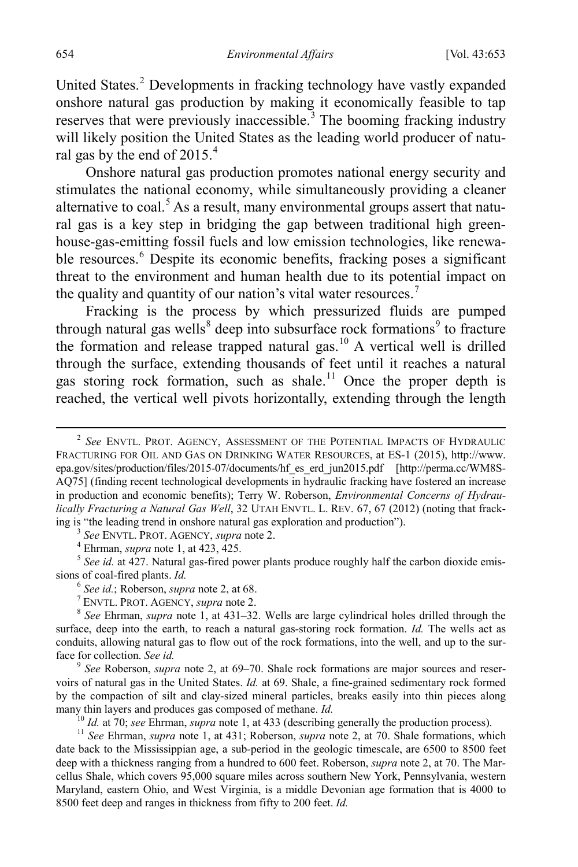<span id="page-2-0"></span>United States.<sup>[2](#page-2-1)</sup> Developments in fracking technology have vastly expanded onshore natural gas production by making it economically feasible to tap reserves that were previously inaccessible.<sup>[3](#page-2-2)</sup> The booming fracking industry will likely position the United States as the leading world producer of natu-ral gas by the end of 2015.<sup>[4](#page-2-3)</sup>

Onshore natural gas production promotes national energy security and stimulates the national economy, while simultaneously providing a cleaner alternative to coal.<sup>[5](#page-2-4)</sup> As a result, many environmental groups assert that natural gas is a key step in bridging the gap between traditional high greenhouse-gas-emitting fossil fuels and low emission technologies, like renewa-ble resources.<sup>[6](#page-2-5)</sup> Despite its economic benefits, fracking poses a significant threat to the environment and human health due to its potential impact on the quality and quantity of our nation's vital water resources.<sup>[7](#page-2-6)</sup>

Fracking is the process by which pressurized fluids are pumped through natural gas wells<sup>[8](#page-2-7)</sup> deep into subsurface rock formations<sup>[9](#page-2-8)</sup> to fracture the formation and release trapped natural gas.<sup>10</sup> A vertical well is drilled through the surface, extending thousands of feet until it reaches a natural gas storing rock formation, such as shale.<sup>[11](#page-2-10)</sup> Once the proper depth is reached, the vertical well pivots horizontally, extending through the length

<span id="page-2-4"></span><span id="page-2-3"></span><span id="page-2-2"></span><sup>3</sup> See ENVTL. PROT. AGENCY, *supra* note 2.<br><sup>4</sup> Ehrman, *supra* note [1,](#page-1-2) at 423, 425.<br><sup>5</sup> See id. at 427. Natural gas-fired power plants produce roughly half the carbon dioxide emissions of coal-fired plants. *Id.*<br>
<sup>6</sup> See id.; Roberson, *supra* not[e 2,](#page-2-0) at 68.<br>
<sup>7</sup> ENVTL. PROT. AGENCY, *supra* note 2.<br>
<sup>8</sup> See Ehrman, *supra* note [1,](#page-1-2) at 431–32. Wells are large cylindrical holes drilled through the

<span id="page-2-7"></span><span id="page-2-6"></span><span id="page-2-5"></span>surface, deep into the earth, to reach a natural gas-storing rock formation. *Id.* The wells act as conduits, allowing natural gas to flow out of the rock formations, into the well, and up to the surface for collection. *See id. 9 See* Roberson, *supra* note [2,](#page-2-0) at 69–70. Shale rock formations are major sources and reser-

<span id="page-2-8"></span>voirs of natural gas in the United States. *Id.* at 69. Shale, a fine-grained sedimentary rock formed by the compaction of silt and clay-sized mineral particles, breaks easily into thin pieces along many thin layers and produces gas composed of methane. *Id.*<br><sup>10</sup> *Id.* at 70; *see* Ehrman, *supra* not[e 1,](#page-1-2) at 433 (describing generally the production process).<br><sup>11</sup> *See* Ehrman, *supra* note 1, at 431; Roberson, *supr* 

<span id="page-2-10"></span><span id="page-2-9"></span>date back to the Mississippian age, a sub-period in the geologic timescale, are 6500 to 8500 feet deep with a thickness ranging from a hundred to 600 feet. Roberson, *supra* note [2,](#page-2-0) at 70. The Marcellus Shale, which covers 95,000 square miles across southern New York, Pennsylvania, western Maryland, eastern Ohio, and West Virginia, is a middle Devonian age formation that is 4000 to 8500 feet deep and ranges in thickness from fifty to 200 feet. *Id.*

<span id="page-2-1"></span> <sup>2</sup> *See* ENVTL. PROT. AGENCY, ASSESSMENT OF THE POTENTIAL IMPACTS OF HYDRAULIC FRACTURING FOR OIL AND GAS ON DRINKING WATER RESOURCES, at ES-1 (2015), http://www. epa.gov/sites/production/files/2015-07/documents/hf\_es\_erd\_jun2015.pdf [http://perma.cc/WM8S-AQ75] (finding recent technological developments in hydraulic fracking have fostered an increase in production and economic benefits); Terry W. Roberson, *Environmental Concerns of Hydraulically Fracturing a Natural Gas Well*, 32 UTAH ENVTL. L. REV. 67, 67 (2012) (noting that frack-<br>ing is "the leading trend in onshore natural gas exploration and production").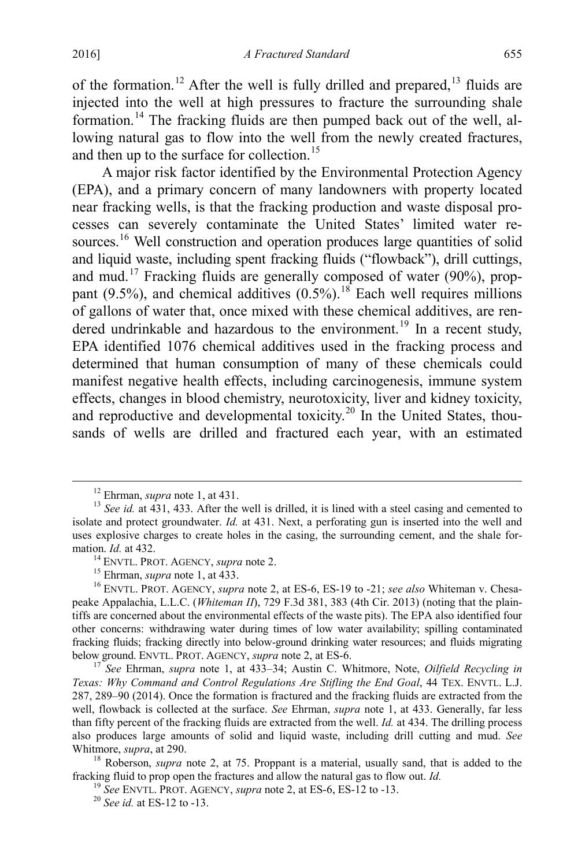of the formation.<sup>[12](#page-3-0)</sup> After the well is fully drilled and prepared,  $13$  fluids are injected into the well at high pressures to fracture the surrounding shale formation.[14](#page-3-2) The fracking fluids are then pumped back out of the well, allowing natural gas to flow into the well from the newly created fractures, and then up to the surface for collection. [15](#page-3-3)

A major risk factor identified by the Environmental Protection Agency (EPA), and a primary concern of many landowners with property located near fracking wells, is that the fracking production and waste disposal processes can severely contaminate the United States' limited water re-sources.<sup>[16](#page-3-4)</sup> Well construction and operation produces large quantities of solid and liquid waste, including spent fracking fluids ("flowback"), drill cuttings, and mud.[17](#page-3-5) Fracking fluids are generally composed of water (90%), proppant (9.5%), and chemical additives  $(0.5\%)$ .<sup>[18](#page-3-6)</sup> Each well requires millions of gallons of water that, once mixed with these chemical additives, are ren-dered undrinkable and hazardous to the environment.<sup>[19](#page-3-7)</sup> In a recent study, EPA identified 1076 chemical additives used in the fracking process and determined that human consumption of many of these chemicals could manifest negative health effects, including carcinogenesis, immune system effects, changes in blood chemistry, neurotoxicity, liver and kidney toxicity, and reproductive and developmental toxicity.<sup>[20](#page-3-8)</sup> In the United States, thousands of wells are drilled and fractured each year, with an estimated

<span id="page-3-1"></span><span id="page-3-0"></span><sup>&</sup>lt;sup>12</sup> Ehrman, *supra* note [1,](#page-1-2) at 431.<br><sup>13</sup> *See id.* at 431, 433. After the well is drilled, it is lined with a steel casing and cemented to isolate and protect groundwater. *Id.* at 431. Next, a perforating gun is inserted into the well and uses explosive charges to create holes in the casing, the surrounding cement, and the shale formation. *Id.* at 432. <sup>14</sup> ENVTL. PROT. AGENCY, *supra* not[e 2.](#page-2-0) 15 Ehrman, *supra* note [1,](#page-1-2) at 433. <sup>15</sup> Ehrman, *supra* note 1, at 433. <sup>16</sup> ENVTL. PROT. AGENCY, *supra* note [2,](#page-2-0) at ES-6, ES-19 to -21; *see also* Whiteman v

<span id="page-3-4"></span><span id="page-3-3"></span><span id="page-3-2"></span>peake Appalachia, L.L.C. (*Whiteman II*), 729 F.3d 381, 383 (4th Cir. 2013) (noting that the plaintiffs are concerned about the environmental effects of the waste pits). The EPA also identified four other concerns: withdrawing water during times of low water availability; spilling contaminated fracking fluids; fracking directly into below-ground drinking water resources; and fluids migrating below ground. ENVTL. PROT. AGENCY, *supra* note 2, at ES-6.

<span id="page-3-5"></span><sup>&</sup>lt;sup>17</sup> See Ehrman, *supra* note [1,](#page-1-2) at 433–34; Austin C. Whitmore, Note, *Oilfield Recycling in Texas: Why Command and Control Regulations Are Stifling the End Goal*, 44 TEX. ENVTL. L.J. 287, 289–90 (2014). Once the formation is fractured and the fracking fluids are extracted from the well, flowback is collected at the surface. *See* Ehrman, *supra* note [1,](#page-1-2) at 433. Generally, far less than fifty percent of the fracking fluids are extracted from the well. *Id.* at 434. The drilling process also produces large amounts of solid and liquid waste, including drill cutting and mud. *See* Whitmore, *supra*, at 290.<br><sup>18</sup> Roberson, *supra* note [2,](#page-2-0) at 75. Proppant is a material, usually sand, that is added to the

<span id="page-3-8"></span><span id="page-3-7"></span><span id="page-3-6"></span>fracking fluid to prop open the fractures and allow the natural gas to flow out. *Id.* <sup>19</sup> *See* ENVTL. PROT. AGENCY, *supra* not[e 2,](#page-2-0) at ES-6, ES-12 to -13. <sup>20</sup> *See id.* at ES-12 to -13.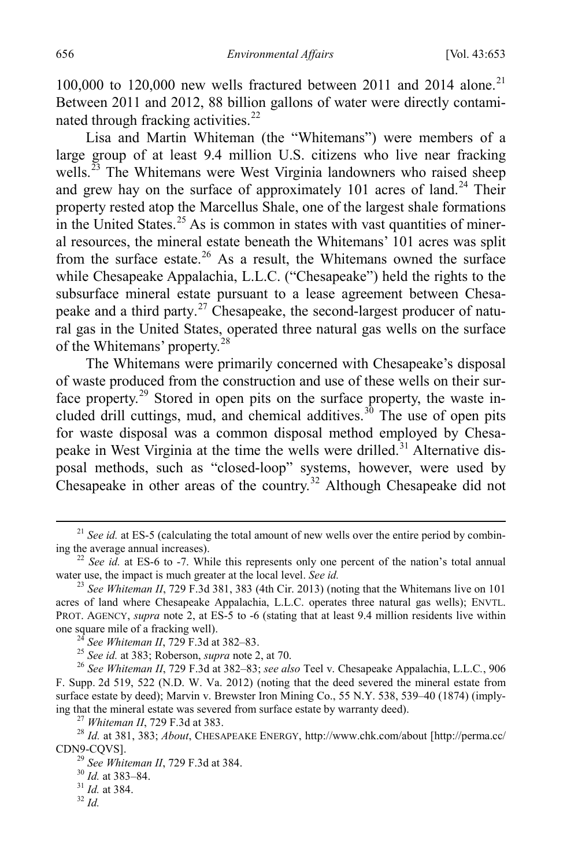100,000 to 120,000 new wells fractured between 2011 and 2014 alone.<sup>[21](#page-4-0)</sup> Between 2011 and 2012, 88 billion gallons of water were directly contami-nated through fracking activities.<sup>[22](#page-4-1)</sup>

Lisa and Martin Whiteman (the "Whitemans") were members of a large group of at least 9.4 million U.S. citizens who live near fracking wells.<sup>[23](#page-4-2)</sup> The Whitemans were West Virginia landowners who raised sheep and grew hay on the surface of approximately 101 acres of land.<sup>[24](#page-4-3)</sup> Their property rested atop the Marcellus Shale, one of the largest shale formations in the United States.<sup>[25](#page-4-4)</sup> As is common in states with vast quantities of mineral resources, the mineral estate beneath the Whitemans' 101 acres was split from the surface estate.<sup>[26](#page-4-5)</sup> As a result, the Whitemans owned the surface while Chesapeake Appalachia, L.L.C. ("Chesapeake") held the rights to the subsurface mineral estate pursuant to a lease agreement between Chesa-peake and a third party.<sup>[27](#page-4-6)</sup> Chesapeake, the second-largest producer of natural gas in the United States, operated three natural gas wells on the surface of the Whitemans' property.[28](#page-4-7)

The Whitemans were primarily concerned with Chesapeake's disposal of waste produced from the construction and use of these wells on their sur-face property.<sup>[29](#page-4-8)</sup> Stored in open pits on the surface property, the waste in-cluded drill cuttings, mud, and chemical additives.<sup>[30](#page-4-9)</sup> The use of open pits for waste disposal was a common disposal method employed by Chesa-peake in West Virginia at the time the wells were drilled.<sup>[31](#page-4-10)</sup> Alternative disposal methods, such as "closed-loop" systems, however, were used by Chesapeake in other areas of the country.<sup>[32](#page-4-11)</sup> Although Chesapeake did not

<span id="page-4-0"></span><sup>&</sup>lt;sup>21</sup> *See id.* at ES-5 (calculating the total amount of new wells over the entire period by combin-<br>ing the average annual increases).

<span id="page-4-1"></span><sup>&</sup>lt;sup>22</sup> *See id.* at ES-6 to -7. While this represents only one percent of the nation's total annual water use, the impact is much greater at the local level. *See id.* 

<span id="page-4-2"></span><sup>&</sup>lt;sup>23</sup> See *Whiteman II*, 729 F.3d 381, 383 (4th Cir. 2013) (noting that the Whitemans live on 101 acres of land where Chesapeake Appalachia, L.L.C. operates three natural gas wells); ENVTL. PROT. AGENCY, *supra* note [2,](#page-2-0) at ES-5 to -6 (stating that at least 9.4 million residents live within one square mile of a fracking well).

<span id="page-4-5"></span><span id="page-4-4"></span><span id="page-4-3"></span><sup>&</sup>lt;sup>24</sup> See Whiteman II, 729 F.3d at 382–83.<br><sup>25</sup> See id. at 383; Roberson, *supra* not[e 2,](#page-2-0) at 70.<br><sup>26</sup> See Whiteman II, 729 F.3d at 382–83; *see also* Teel v. Chesapeake Appalachia, L.L.C., 906 F. Supp. 2d 519, 522 (N.D. W. Va. 2012) (noting that the deed severed the mineral estate from surface estate by deed); Marvin v. Brewster Iron Mining Co., 55 N.Y. 538, 539–40 (1874) (implying that the mineral estate was severed from surface estate by warranty deed).<br><sup>27</sup> Whiteman II, 729 F.3d at 383.<br><sup>28</sup> Id. at 381, 383; *About*, CHESAPEAKE ENERGY, http://www.chk.com/about [http://perma.cc/

<span id="page-4-10"></span><span id="page-4-9"></span><span id="page-4-8"></span><span id="page-4-7"></span><span id="page-4-6"></span>CDN9-CQVS]. <sup>29</sup> *See Whiteman II*, 729 F.3d at 384. <sup>30</sup> *Id.* at 383–84. <sup>31</sup> *Id.* at 384. <sup>32</sup> *Id.*

<span id="page-4-11"></span>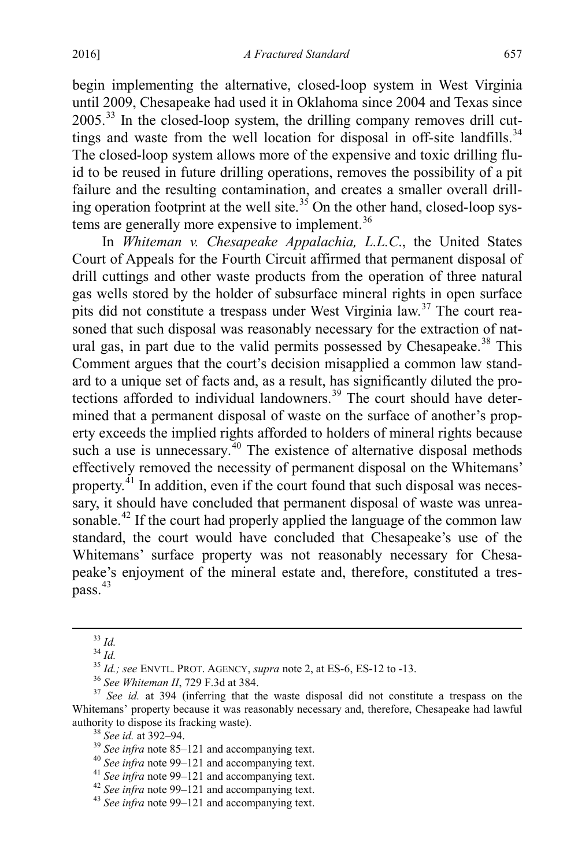begin implementing the alternative, closed-loop system in West Virginia until 2009, Chesapeake had used it in Oklahoma since 2004 and Texas since 2005.[33](#page-5-0) In the closed-loop system, the drilling company removes drill cuttings and waste from the well location for disposal in off-site landfills. $34$ The closed-loop system allows more of the expensive and toxic drilling fluid to be reused in future drilling operations, removes the possibility of a pit failure and the resulting contamination, and creates a smaller overall drilling operation footprint at the well site.<sup>35</sup> On the other hand, closed-loop sys-tems are generally more expensive to implement.<sup>[36](#page-5-3)</sup>

In *Whiteman v. Chesapeake Appalachia, L.L.C*., the United States Court of Appeals for the Fourth Circuit affirmed that permanent disposal of drill cuttings and other waste products from the operation of three natural gas wells stored by the holder of subsurface mineral rights in open surface pits did not constitute a trespass under West Virginia law.[37](#page-5-4) The court reasoned that such disposal was reasonably necessary for the extraction of nat-ural gas, in part due to the valid permits possessed by Chesapeake.<sup>[38](#page-5-5)</sup> This Comment argues that the court's decision misapplied a common law standard to a unique set of facts and, as a result, has significantly diluted the pro-tections afforded to individual landowners.<sup>[39](#page-5-6)</sup> The court should have determined that a permanent disposal of waste on the surface of another's property exceeds the implied rights afforded to holders of mineral rights because such a use is unnecessary.<sup>[40](#page-5-7)</sup> The existence of alternative disposal methods effectively removed the necessity of permanent disposal on the Whitemans' property. $41$  In addition, even if the court found that such disposal was necessary, it should have concluded that permanent disposal of waste was unreasonable.<sup>42</sup> If the court had properly applied the language of the common law standard, the court would have concluded that Chesapeake's use of the Whitemans' surface property was not reasonably necessary for Chesapeake's enjoyment of the mineral estate and, therefore, constituted a trespass. [43](#page-5-10)

<span id="page-5-4"></span><span id="page-5-3"></span><span id="page-5-2"></span><span id="page-5-1"></span><span id="page-5-0"></span><sup>&</sup>lt;sup>33</sup> *Id.*<br><sup>34</sup> *Id.*<br><sup>35</sup> *Id.; see* ENVTL. PROT. AGENCY, *supra* not[e 2,](#page-2-0) at ES-6, ES-12 to -13.<br><sup>36</sup> *See Whiteman II*, 729 F.3d at 384.<br><sup>37</sup> *See id.* at 394 (inferring that the waste disposal did not constitute a tres Whitemans' property because it was reasonably necessary and, therefore, Chesapeake had lawful authority to dispose its fracking waste).

<span id="page-5-6"></span><span id="page-5-5"></span>

<sup>&</sup>lt;sup>38</sup> See id. at 392–94.<br><sup>39</sup> See infra note [85–](#page-9-0)[121](#page-13-0) and accompanying text.<br><sup>40</sup> See infra note [99–](#page-10-0)121 and accompanying text.<br><sup>41</sup> See infra note 99–121 and accompanying text.<br><sup>42</sup> See infra note 99–121 and accompanying tex

<span id="page-5-7"></span>

<span id="page-5-9"></span><span id="page-5-8"></span>

<span id="page-5-10"></span>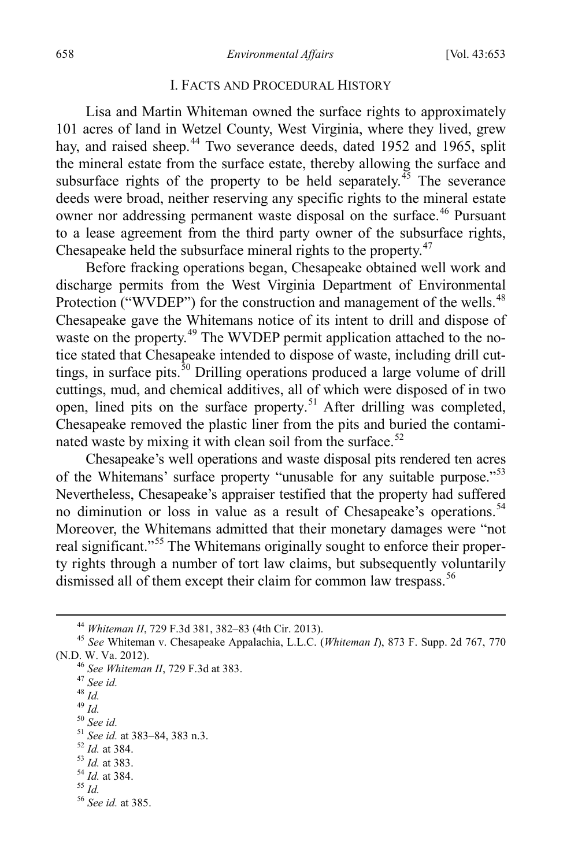#### I. FACTS AND PROCEDURAL HISTORY

Lisa and Martin Whiteman owned the surface rights to approximately 101 acres of land in Wetzel County, West Virginia, where they lived, grew hay, and raised sheep.<sup>[44](#page-6-0)</sup> Two severance deeds, dated 1952 and 1965, split the mineral estate from the surface estate, thereby allowing the surface and subsurface rights of the property to be held separately.<sup>[45](#page-6-1)</sup> The severance deeds were broad, neither reserving any specific rights to the mineral estate owner nor addressing permanent waste disposal on the surface.<sup>[46](#page-6-2)</sup> Pursuant to a lease agreement from the third party owner of the subsurface rights, Chesapeake held the subsurface mineral rights to the property.<sup>[47](#page-6-3)</sup>

Before fracking operations began, Chesapeake obtained well work and discharge permits from the West Virginia Department of Environmental Protection ("WVDEP") for the construction and management of the wells.<sup>[48](#page-6-4)</sup> Chesapeake gave the Whitemans notice of its intent to drill and dispose of waste on the property.<sup>[49](#page-6-5)</sup> The WVDEP permit application attached to the notice stated that Chesapeake intended to dispose of waste, including drill cut-tings, in surface pits.<sup>[50](#page-6-6)</sup> Drilling operations produced a large volume of drill cuttings, mud, and chemical additives, all of which were disposed of in two open, lined pits on the surface property.<sup>[51](#page-6-7)</sup> After drilling was completed, Chesapeake removed the plastic liner from the pits and buried the contami-nated waste by mixing it with clean soil from the surface.<sup>[52](#page-6-8)</sup>

Chesapeake's well operations and waste disposal pits rendered ten acres of the Whitemans' surface property "unusable for any suitable purpose."[53](#page-6-9) Nevertheless, Chesapeake's appraiser testified that the property had suffered no diminution or loss in value as a result of Chesapeake's operations.<sup>[54](#page-6-10)</sup> Moreover, the Whitemans admitted that their monetary damages were "not real significant."<sup>[55](#page-6-11)</sup> The Whitemans originally sought to enforce their property rights through a number of tort law claims, but subsequently voluntarily dismissed all of them except their claim for common law trespass.<sup>[56](#page-6-12)</sup>

- 
- 
- <span id="page-6-4"></span>
- <span id="page-6-6"></span><span id="page-6-5"></span>
- <span id="page-6-7"></span>

- 
- <span id="page-6-10"></span><span id="page-6-9"></span>
- <span id="page-6-11"></span>
- <span id="page-6-12"></span>

<span id="page-6-3"></span><span id="page-6-2"></span><span id="page-6-1"></span><span id="page-6-0"></span><sup>44</sup> *Whiteman II*, 729 F.3d 381, 382–83 (4th Cir. 2013). 45 *See* Whiteman v. Chesapeake Appalachia, L.L.C. (*Whiteman I*), 873 F. Supp. 2d 767, 770 (N.D. W. Va. 2012).<br>
<sup>46</sup> See Whiteman II, 729 F.3d at 383.<br>
<sup>47</sup> See id.<br>
<sup>49</sup> Id.<br>
<sup>50</sup> See id.<br>
<sup>51</sup> See id. at 383–84, 383 n.3.<br>
<sup>52</sup> Id. at 384.<br>
<sup>53</sup> Id. at 383.<br>
<sup>54</sup> Id. at 383.<br>
<sup>54</sup> Id. at 384.<br>
<sup>55</sup> Id. at 384.

<span id="page-6-8"></span>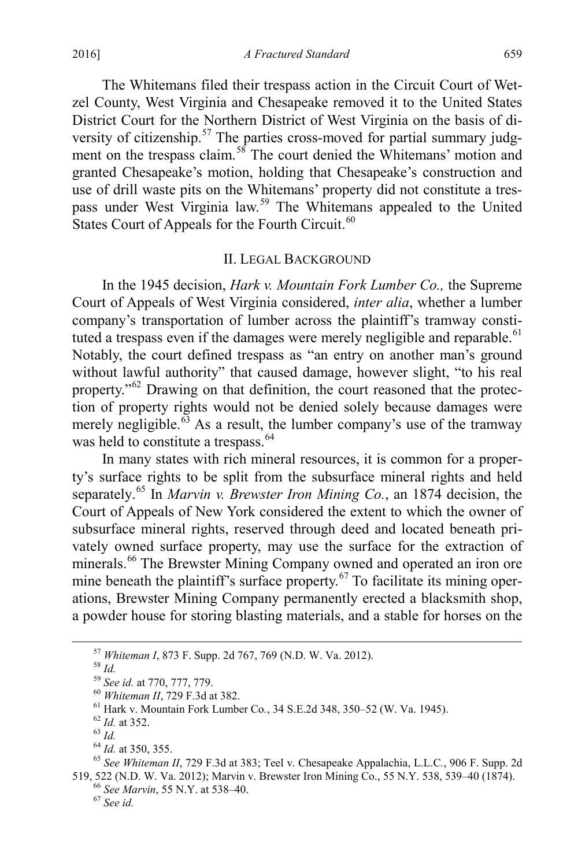The Whitemans filed their trespass action in the Circuit Court of Wetzel County, West Virginia and Chesapeake removed it to the United States District Court for the Northern District of West Virginia on the basis of di-versity of citizenship.<sup>[57](#page-7-0)</sup> The parties cross-moved for partial summary judg-ment on the trespass claim.<sup>[58](#page-7-1)</sup> The court denied the Whitemans' motion and granted Chesapeake's motion, holding that Chesapeake's construction and use of drill waste pits on the Whitemans' property did not constitute a trespass under West Virginia law.[59](#page-7-2) The Whitemans appealed to the United States Court of Appeals for the Fourth Circuit. $60$ 

#### II. LEGAL BACKGROUND

In the 1945 decision, *Hark v. Mountain Fork Lumber Co.,* the Supreme Court of Appeals of West Virginia considered, *inter alia*, whether a lumber company's transportation of lumber across the plaintiff's tramway consti-tuted a trespass even if the damages were merely negligible and reparable.<sup>[61](#page-7-4)</sup> Notably, the court defined trespass as "an entry on another man's ground without lawful authority" that caused damage, however slight, "to his real property."[62](#page-7-5) Drawing on that definition, the court reasoned that the protection of property rights would not be denied solely because damages were merely negligible. $\overset{63}{\circ}$  $\overset{63}{\circ}$  $\overset{63}{\circ}$  As a result, the lumber company's use of the tramway was held to constitute a trespass.<sup>[64](#page-7-7)</sup>

In many states with rich mineral resources, it is common for a property's surface rights to be split from the subsurface mineral rights and held separately. [65](#page-7-8) In *Marvin v. Brewster Iron Mining Co.*, an 1874 decision, the Court of Appeals of New York considered the extent to which the owner of subsurface mineral rights, reserved through deed and located beneath privately owned surface property, may use the surface for the extraction of minerals.<sup>[66](#page-7-9)</sup> The Brewster Mining Company owned and operated an iron ore mine beneath the plaintiff's surface property. $67$  To facilitate its mining operations, Brewster Mining Company permanently erected a blacksmith shop, a powder house for storing blasting materials, and a stable for horses on the

<span id="page-7-4"></span>

<span id="page-7-8"></span><span id="page-7-7"></span><span id="page-7-6"></span><span id="page-7-5"></span>

<span id="page-7-3"></span><span id="page-7-2"></span><span id="page-7-1"></span><span id="page-7-0"></span><sup>&</sup>lt;sup>57</sup> Whiteman I, 873 F. Supp. 2d 767, 769 (N.D. W. Va. 2012).<br><sup>58</sup> *Id.*<br><sup>59</sup> *See id.* at 770, 777, 779.<br><sup>60</sup> Whiteman II, 729 F.3d at 382.<br><sup>61</sup> Hark v. Mountain Fork Lumber Co., 34 S.E.2d 348, 350–52 (W. Va. 1945).<br><sup>62</sup> 519, 522 (N.D. W. Va. 2012); Marvin v. Brewster Iron Mining Co., 55 N.Y. 538, 539–40 (1874). 66 *See Marvin*, 55 N.Y. at 538–40. <sup>67</sup> *See id.*

<span id="page-7-10"></span><span id="page-7-9"></span>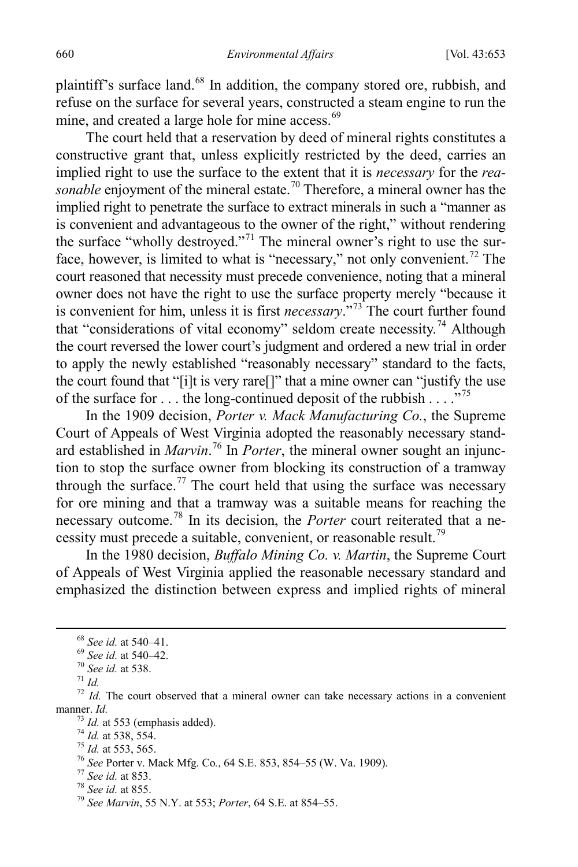plaintiff's surface land.<sup>[68](#page-8-0)</sup> In addition, the company stored ore, rubbish, and refuse on the surface for several years, constructed a steam engine to run the mine, and created a large hole for mine access.<sup>[69](#page-8-1)</sup>

The court held that a reservation by deed of mineral rights constitutes a constructive grant that, unless explicitly restricted by the deed, carries an implied right to use the surface to the extent that it is *necessary* for the *reasonable* enjoyment of the mineral estate.<sup>[70](#page-8-2)</sup> Therefore, a mineral owner has the implied right to penetrate the surface to extract minerals in such a "manner as is convenient and advantageous to the owner of the right," without rendering the surface "wholly destroyed."[71](#page-8-3) The mineral owner's right to use the sur-face, however, is limited to what is "necessary," not only convenient.<sup>[72](#page-8-4)</sup> The court reasoned that necessity must precede convenience, noting that a mineral owner does not have the right to use the surface property merely "because it is convenient for him, unless it is first *necessary*."[73](#page-8-5) The court further found that "considerations of vital economy" seldom create necessity.<sup>[74](#page-8-6)</sup> Although the court reversed the lower court's judgment and ordered a new trial in order to apply the newly established "reasonably necessary" standard to the facts, the court found that "[i]t is very rare[]" that a mine owner can "justify the use of the surface for  $\dots$  the long-continued deposit of the rubbish  $\dots$  ."<sup>[75](#page-8-7)</sup>

In the 1909 decision, *Porter v. Mack Manufacturing Co.*, the Supreme Court of Appeals of West Virginia adopted the reasonably necessary standard established in *Marvin*. [76](#page-8-8) In *Porter*, the mineral owner sought an injunction to stop the surface owner from blocking its construction of a tramway through the surface.<sup>[77](#page-8-9)</sup> The court held that using the surface was necessary for ore mining and that a tramway was a suitable means for reaching the necessary outcome.[78](#page-8-10) In its decision, the *Porter* court reiterated that a ne-cessity must precede a suitable, convenient, or reasonable result.<sup>[79](#page-8-11)</sup>

In the 1980 decision, *Buffalo Mining Co. v. Martin*, the Supreme Court of Appeals of West Virginia applied the reasonable necessary standard and emphasized the distinction between express and implied rights of mineral

<span id="page-8-4"></span>

<span id="page-8-3"></span><span id="page-8-2"></span><span id="page-8-1"></span><span id="page-8-0"></span><sup>&</sup>lt;sup>68</sup> *See id.* at 540–41.<br><sup>69</sup> *See id.* at 540–42.<br><sup>70</sup> *See id.* at 538.<br><sup>71</sup> *Id.*<br><sup>72</sup> *Id.* The court observed that a mineral owner can take necessary actions in a convenient manner. *Id.*<br>
<sup>73</sup> *Id.* at 553 (emphasis added).<br>
<sup>74</sup> *Id.* at 538, 554.<br>
<sup>75</sup> *Id.* at 553, 565.<br>
<sup>76</sup> See Porter v. Mack Mfg. Co., 64 S.E. 853, 854–55 (W. Va. 1909).<br>
<sup>77</sup> See id. at 853.<br>
<sup>78</sup> See id. at 855.<br>
<sup>79</sup>

<span id="page-8-6"></span><span id="page-8-5"></span>

<span id="page-8-7"></span>

<span id="page-8-8"></span>

<span id="page-8-9"></span>

<span id="page-8-10"></span>

<span id="page-8-11"></span>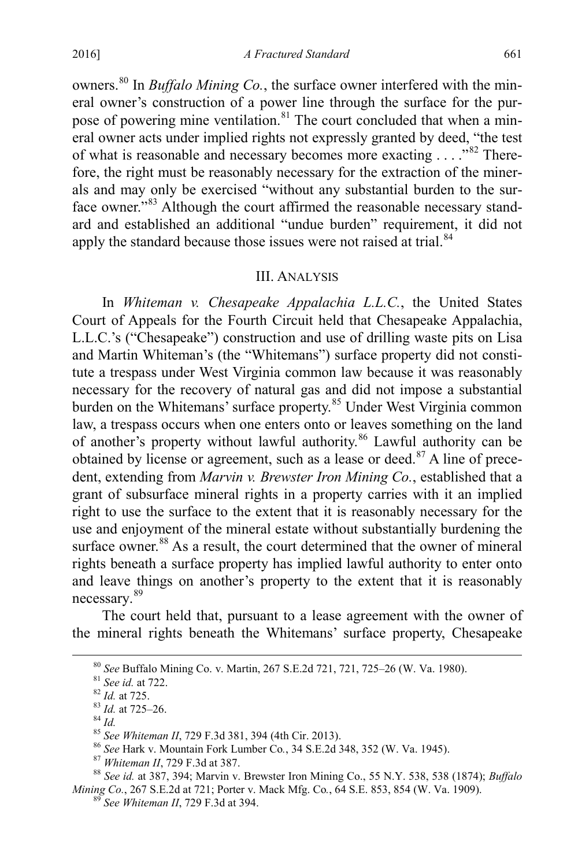owners.[80](#page-9-1) In *Buffalo Mining Co.*, the surface owner interfered with the mineral owner's construction of a power line through the surface for the pur-pose of powering mine ventilation.<sup>[81](#page-9-2)</sup> The court concluded that when a mineral owner acts under implied rights not expressly granted by deed, "the test of what is reasonable and necessary becomes more exacting . . . ."[82](#page-9-3) Therefore, the right must be reasonably necessary for the extraction of the minerals and may only be exercised "without any substantial burden to the surface owner."[83](#page-9-4) Although the court affirmed the reasonable necessary standard and established an additional "undue burden" requirement, it did not apply the standard because those issues were not raised at trial.<sup>[84](#page-9-5)</sup>

#### <span id="page-9-0"></span>III. ANALYSIS

In *Whiteman v. Chesapeake Appalachia L.L.C.*, the United States Court of Appeals for the Fourth Circuit held that Chesapeake Appalachia, L.L.C.'s ("Chesapeake") construction and use of drilling waste pits on Lisa and Martin Whiteman's (the "Whitemans") surface property did not constitute a trespass under West Virginia common law because it was reasonably necessary for the recovery of natural gas and did not impose a substantial burden on the Whitemans' surface property.<sup>[85](#page-9-6)</sup> Under West Virginia common law, a trespass occurs when one enters onto or leaves something on the land of another's property without lawful authority.<sup>[86](#page-9-7)</sup> Lawful authority can be obtained by license or agreement, such as a lease or deed. $87$  A line of precedent, extending from *Marvin v. Brewster Iron Mining Co.*, established that a grant of subsurface mineral rights in a property carries with it an implied right to use the surface to the extent that it is reasonably necessary for the use and enjoyment of the mineral estate without substantially burdening the surface owner.<sup>[88](#page-9-9)</sup> As a result, the court determined that the owner of mineral rights beneath a surface property has implied lawful authority to enter onto and leave things on another's property to the extent that it is reasonably necessary. [89](#page-9-10)

The court held that, pursuant to a lease agreement with the owner of the mineral rights beneath the Whitemans' surface property, Chesapeake

<span id="page-9-4"></span><span id="page-9-3"></span><span id="page-9-2"></span><span id="page-9-1"></span><sup>80</sup> See Buffalo Mining Co. v. Martin, 267 S.E.2d 721, 721, 725–26 (W. Va. 1980).<br><sup>81</sup> See id. at 722.<br><sup>82</sup> Id. at 725.<br><sup>83</sup> Id. at 725–26.<br><sup>84</sup> Id.<br><sup>85</sup> See Whiteman II, 729 F.3d 381, 394 (4th Cir. 2013).<br><sup>86</sup> See Hark v *Mining Co.*, 267 S.E.2d at 721; Porter v. Mack Mfg. Co*.*, 64 S.E. 853, 854 (W. Va. 1909). <sup>89</sup> *See Whiteman II*, 729 F.3d at 394.

<span id="page-9-6"></span><span id="page-9-5"></span>

<span id="page-9-8"></span><span id="page-9-7"></span>

<span id="page-9-9"></span>

<span id="page-9-10"></span>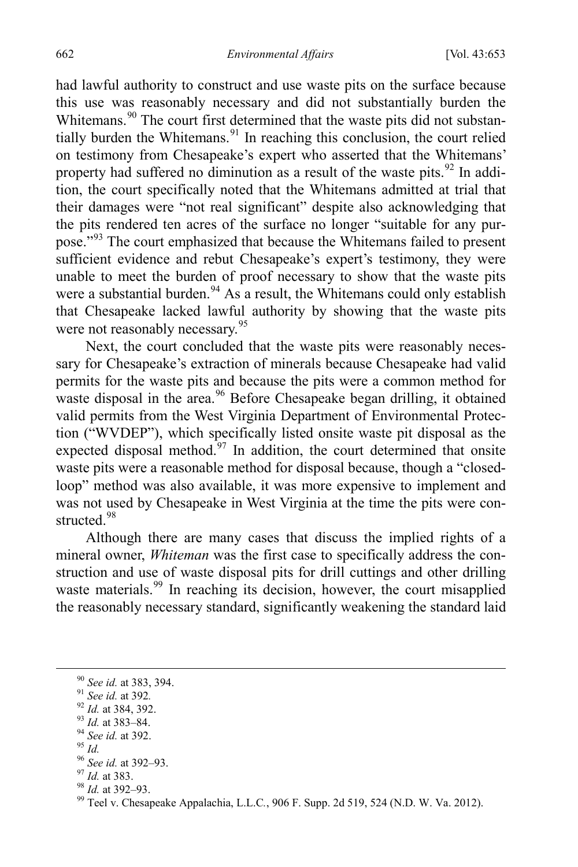had lawful authority to construct and use waste pits on the surface because this use was reasonably necessary and did not substantially burden the Whitemans.<sup>[90](#page-10-1)</sup> The court first determined that the waste pits did not substantially burden the Whitemans. $91$  In reaching this conclusion, the court relied on testimony from Chesapeake's expert who asserted that the Whitemans' property had suffered no diminution as a result of the waste pits.  $92$  In addition, the court specifically noted that the Whitemans admitted at trial that their damages were "not real significant" despite also acknowledging that the pits rendered ten acres of the surface no longer "suitable for any purpose."[93](#page-10-4) The court emphasized that because the Whitemans failed to present sufficient evidence and rebut Chesapeake's expert's testimony, they were unable to meet the burden of proof necessary to show that the waste pits were a substantial burden.<sup>94</sup> As a result, the Whitemans could only establish that Chesapeake lacked lawful authority by showing that the waste pits were not reasonably necessary.<sup>[95](#page-10-6)</sup>

Next, the court concluded that the waste pits were reasonably necessary for Chesapeake's extraction of minerals because Chesapeake had valid permits for the waste pits and because the pits were a common method for waste disposal in the area.<sup>[96](#page-10-7)</sup> Before Chesapeake began drilling, it obtained valid permits from the West Virginia Department of Environmental Protection ("WVDEP"), which specifically listed onsite waste pit disposal as the expected disposal method.<sup>[97](#page-10-8)</sup> In addition, the court determined that onsite waste pits were a reasonable method for disposal because, though a "closedloop" method was also available, it was more expensive to implement and was not used by Chesapeake in West Virginia at the time the pits were constructed. [98](#page-10-9)

<span id="page-10-0"></span>Although there are many cases that discuss the implied rights of a mineral owner, *Whiteman* was the first case to specifically address the construction and use of waste disposal pits for drill cuttings and other drilling waste materials.<sup>[99](#page-10-10)</sup> In reaching its decision, however, the court misapplied the reasonably necessary standard, significantly weakening the standard laid

<span id="page-10-4"></span>

<span id="page-10-5"></span>

<span id="page-10-6"></span>

<span id="page-10-7"></span>

<span id="page-10-8"></span>

<span id="page-10-10"></span><span id="page-10-9"></span>

<span id="page-10-3"></span><span id="page-10-2"></span><span id="page-10-1"></span><sup>&</sup>lt;sup>90</sup> See id. at 383, 394.<br><sup>91</sup> See id. at 392.<br><sup>92</sup> Id. at 384, 392.<br><sup>93</sup> Id. at 383–84.<br><sup>94</sup> See id. at 392–93.<br><sup>95</sup> Id. at 383.<br><sup>97</sup> Id. at 383.<br><sup>97</sup> Id. at 383.<br><sup>99</sup> Teel v. Chesapeake Appalachia, L.L.C., 906 F. Supp.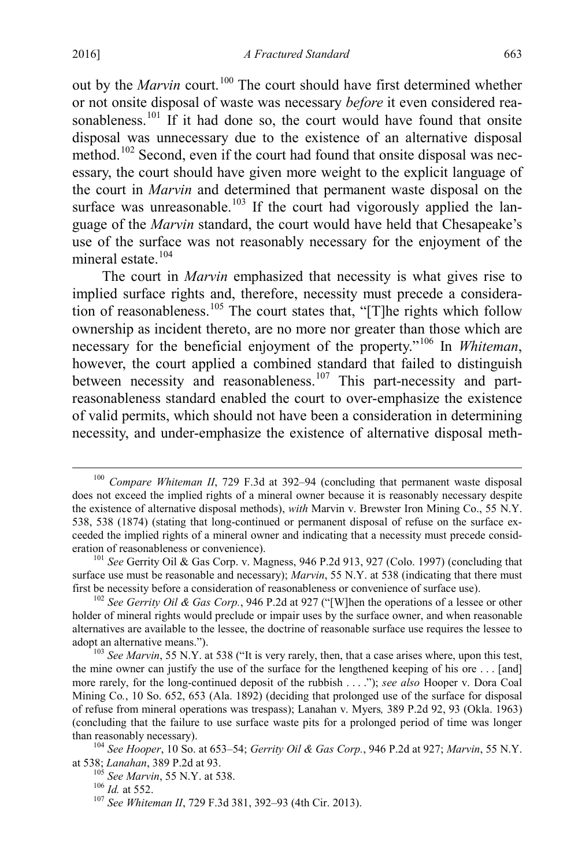out by the *Marvin* court.<sup>100</sup> The court should have first determined whether or not onsite disposal of waste was necessary *before* it even considered rea-sonableness.<sup>[101](#page-11-1)</sup> If it had done so, the court would have found that onsite disposal was unnecessary due to the existence of an alternative disposal method.<sup>102</sup> Second, even if the court had found that onsite disposal was necessary, the court should have given more weight to the explicit language of the court in *Marvin* and determined that permanent waste disposal on the surface was unreasonable.<sup>[103](#page-11-3)</sup> If the court had vigorously applied the language of the *Marvin* standard, the court would have held that Chesapeake's use of the surface was not reasonably necessary for the enjoyment of the mineral estate.<sup>[104](#page-11-4)</sup>

The court in *Marvin* emphasized that necessity is what gives rise to implied surface rights and, therefore, necessity must precede a considera-tion of reasonableness.<sup>[105](#page-11-5)</sup> The court states that, "[T]he rights which follow ownership as incident thereto, are no more nor greater than those which are necessary for the beneficial enjoyment of the property."[106](#page-11-6) In *Whiteman*, however, the court applied a combined standard that failed to distinguish between necessity and reasonableness.<sup>[107](#page-11-7)</sup> This part-necessity and partreasonableness standard enabled the court to over-emphasize the existence of valid permits, which should not have been a consideration in determining necessity, and under-emphasize the existence of alternative disposal meth-

<span id="page-11-0"></span> <sup>100</sup> *Compare Whiteman II*, 729 F.3d at 392–94 (concluding that permanent waste disposal does not exceed the implied rights of a mineral owner because it is reasonably necessary despite the existence of alternative disposal methods), *with* Marvin v. Brewster Iron Mining Co., 55 N.Y. 538, 538 (1874) (stating that long-continued or permanent disposal of refuse on the surface exceeded the implied rights of a mineral owner and indicating that a necessity must precede consideration of reasonableness or convenience).<br><sup>101</sup> *See* Gerrity Oil & Gas Corp. v. Magness, 946 P.2d 913, 927 (Colo. 1997) (concluding that

<span id="page-11-1"></span>surface use must be reasonable and necessary); *Marvin*, 55 N.Y. at 538 (indicating that there must first be necessity before a consideration of reasonableness or convenience of surface use). <sup>102</sup> *See Gerrity Oil & Gas Corp.*, 946 P.2d at 927 ("[W]hen the operations of a lessee or other

<span id="page-11-2"></span>holder of mineral rights would preclude or impair uses by the surface owner, and when reasonable alternatives are available to the lessee, the doctrine of reasonable surface use requires the lessee to adopt an alternative means.").

<span id="page-11-3"></span><sup>&</sup>lt;sup>103</sup> See Marvin, 55 N.Y. at 538 ("It is very rarely, then, that a case arises where, upon this test, the mine owner can justify the use of the surface for the lengthened keeping of his ore ... [and] more rarely, for the long-continued deposit of the rubbish . . . ."); *see also* Hooper v. Dora Coal Mining Co*.*, 10 So. 652, 653 (Ala. 1892) (deciding that prolonged use of the surface for disposal of refuse from mineral operations was trespass); Lanahan v. Myers*,* 389 P.2d 92, 93 (Okla. 1963) (concluding that the failure to use surface waste pits for a prolonged period of time was longer

<span id="page-11-6"></span><span id="page-11-5"></span><span id="page-11-4"></span>than reasonably necessary).<br><sup>104</sup> *See Hooper*, 10 So. at 653–54; *Gerrity Oil & Gas Corp.*, 946 P.2d at 927; *Marvin*, 55 N.Y.<br>at 538; *Lanahan*, 389 P.2d at 93.

<span id="page-11-7"></span>

<sup>&</sup>lt;sup>105</sup> *See Marvin*, 55 N.Y. at 538. <sup>105</sup> *Id.* at 552. <sup>107</sup> *See Whiteman II*, 729 F.3d 381, 392–93 (4th Cir. 2013).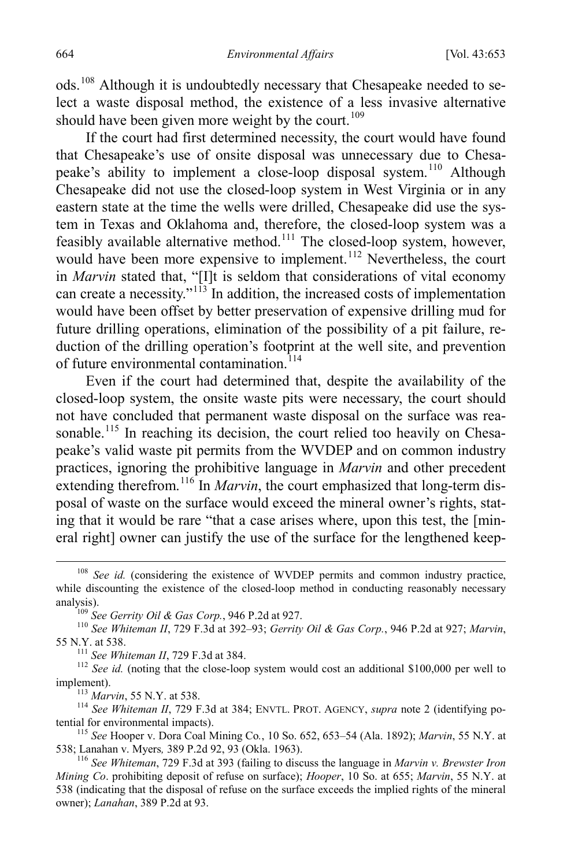ods.[108](#page-12-0) Although it is undoubtedly necessary that Chesapeake needed to select a waste disposal method, the existence of a less invasive alternative should have been given more weight by the court.<sup>[109](#page-12-1)</sup>

If the court had first determined necessity, the court would have found that Chesapeake's use of onsite disposal was unnecessary due to Chesapeake's ability to implement a close-loop disposal system.<sup>110</sup> Although Chesapeake did not use the closed-loop system in West Virginia or in any eastern state at the time the wells were drilled, Chesapeake did use the system in Texas and Oklahoma and, therefore, the closed-loop system was a feasibly available alternative method.<sup>111</sup> The closed-loop system, however, would have been more expensive to implement.<sup>[112](#page-12-4)</sup> Nevertheless, the court in *Marvin* stated that, "[I]t is seldom that considerations of vital economy can create a necessity."<sup>[113](#page-12-5)</sup> In addition, the increased costs of implementation would have been offset by better preservation of expensive drilling mud for future drilling operations, elimination of the possibility of a pit failure, reduction of the drilling operation's footprint at the well site, and prevention of future environmental contamination.<sup>[114](#page-12-6)</sup>

Even if the court had determined that, despite the availability of the closed-loop system, the onsite waste pits were necessary, the court should not have concluded that permanent waste disposal on the surface was rea-sonable.<sup>[115](#page-12-7)</sup> In reaching its decision, the court relied too heavily on Chesapeake's valid waste pit permits from the WVDEP and on common industry practices, ignoring the prohibitive language in *Marvin* and other precedent extending therefrom.<sup>[116](#page-12-8)</sup> In *Marvin*, the court emphasized that long-term disposal of waste on the surface would exceed the mineral owner's rights, stating that it would be rare "that a case arises where, upon this test, the [mineral right] owner can justify the use of the surface for the lengthened keep-

<span id="page-12-4"></span><span id="page-12-3"></span><sup>111</sup> *See Whiteman II*, 729 F.3d at 384. <sup>112</sup> *See id.* (noting that the close-loop system would cost an additional \$100,000 per well to

<span id="page-12-6"></span><span id="page-12-5"></span>implement).<br><sup>113</sup> *Marvin*, 55 N.Y. at 538.<br><sup>114</sup> *See Whiteman II*, 729 F.3d at 384; ENVTL. PROT. AGENCY, *supra* note [2](#page-2-0) (identifying po-<br>tential for environmental impacts).

<span id="page-12-7"></span><sup>115</sup> *See* Hooper v. Dora Coal Mining Co., 10 So. 652, 653–54 (Ala. 1892); *Marvin*, 55 N.Y. at 538; Lanahan v. Myers, 389 P.2d 92, 93 (Okla. 1963).

<span id="page-12-0"></span> <sup>108</sup> *See id.* (considering the existence of WVDEP permits and common industry practice, while discounting the existence of the closed-loop method in conducting reasonably necessary

<span id="page-12-2"></span><span id="page-12-1"></span>analysis).<br><sup>109</sup> *See Gerrity Oil & Gas Corp.*, 946 P.2d at 927.<br><sup>110</sup> *See Whiteman II*, 729 F.3d at 392–93; *Gerrity Oil & Gas Corp.*, 946 P.2d at 927; *Marvin*,<br>55 N.Y. at 538.

<span id="page-12-8"></span><sup>&</sup>lt;sup>116</sup> See Whiteman, 729 F.3d at 393 (failing to discuss the language in *Marvin v. Brewster Iron Mining Co*. prohibiting deposit of refuse on surface); *Hooper*, 10 So. at 655; *Marvin*, 55 N.Y. at 538 (indicating that the disposal of refuse on the surface exceeds the implied rights of the mineral owner); *Lanahan*, 389 P.2d at 93.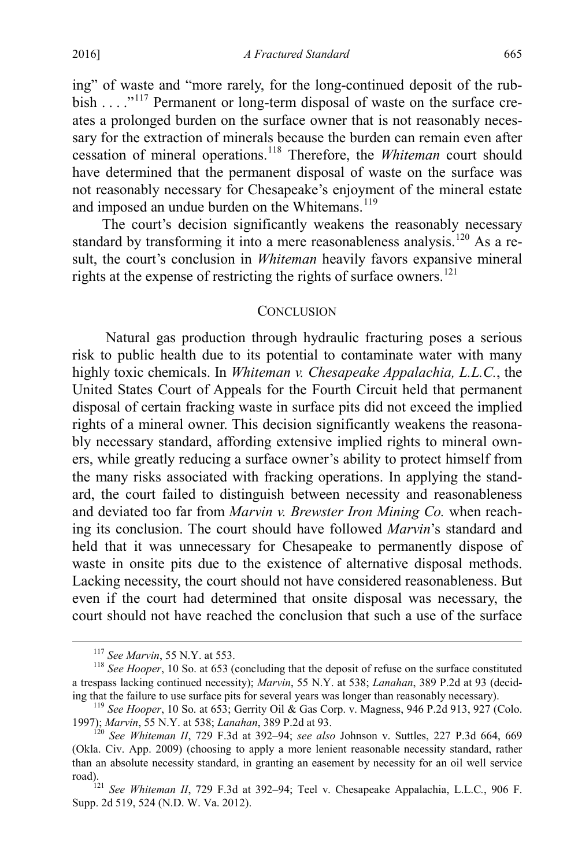ing" of waste and "more rarely, for the long-continued deposit of the rub-bish . . . . .<sup>"[117](#page-13-1)</sup> Permanent or long-term disposal of waste on the surface creates a prolonged burden on the surface owner that is not reasonably necessary for the extraction of minerals because the burden can remain even after cessation of mineral operations.[118](#page-13-2) Therefore, the *Whiteman* court should have determined that the permanent disposal of waste on the surface was not reasonably necessary for Chesapeake's enjoyment of the mineral estate and imposed an undue burden on the Whitemans.<sup>[119](#page-13-3)</sup>

The court's decision significantly weakens the reasonably necessary standard by transforming it into a mere reasonableness analysis.<sup>[120](#page-13-4)</sup> As a result, the court's conclusion in *Whiteman* heavily favors expansive mineral rights at the expense of restricting the rights of surface owners.<sup>[121](#page-13-5)</sup>

#### <span id="page-13-0"></span>**CONCLUSION**

Natural gas production through hydraulic fracturing poses a serious risk to public health due to its potential to contaminate water with many highly toxic chemicals. In *Whiteman v. Chesapeake Appalachia, L.L.C.*, the United States Court of Appeals for the Fourth Circuit held that permanent disposal of certain fracking waste in surface pits did not exceed the implied rights of a mineral owner. This decision significantly weakens the reasonably necessary standard, affording extensive implied rights to mineral owners, while greatly reducing a surface owner's ability to protect himself from the many risks associated with fracking operations. In applying the standard, the court failed to distinguish between necessity and reasonableness and deviated too far from *Marvin v. Brewster Iron Mining Co.* when reaching its conclusion. The court should have followed *Marvin*'s standard and held that it was unnecessary for Chesapeake to permanently dispose of waste in onsite pits due to the existence of alternative disposal methods. Lacking necessity, the court should not have considered reasonableness. But even if the court had determined that onsite disposal was necessary, the court should not have reached the conclusion that such a use of the surface

<span id="page-13-2"></span><span id="page-13-1"></span><sup>&</sup>lt;sup>117</sup> *See Marvin*, 55 N.Y. at 553.<br><sup>118</sup> *See Hooper*, 10 So. at 653 (concluding that the deposit of refuse on the surface constituted a trespass lacking continued necessity); *Marvin*, 55 N.Y. at 538; *Lanahan*, 389 P.2d at 93 (decid-

<span id="page-13-3"></span><sup>&</sup>lt;sup>119</sup> See Hooper, 10 So. at 653; Gerrity Oil & Gas Corp. v. Magness, 946 P.2d 913, 927 (Colo. 1997); *Marvin*, 55 N.Y. at 538; *Lanahan*, 389 P.2d at 93.

<span id="page-13-4"></span><sup>&</sup>lt;sup>120</sup> See Whiteman *II*, 729 F.3d at 392–94; *see also* Johnson v. Suttles, 227 P.3d 664, 669 (Okla. Civ. App. 2009) (choosing to apply a more lenient reasonable necessity standard, rather than an absolute necessity standard, in granting an easement by necessity for an oil well service road).121 *See Whiteman II*, 729 F.3d at 392–94; Teel v. Chesapeake Appalachia, L.L.C*.*, 906 F.

<span id="page-13-5"></span>Supp. 2d 519, 524 (N.D. W. Va. 2012).